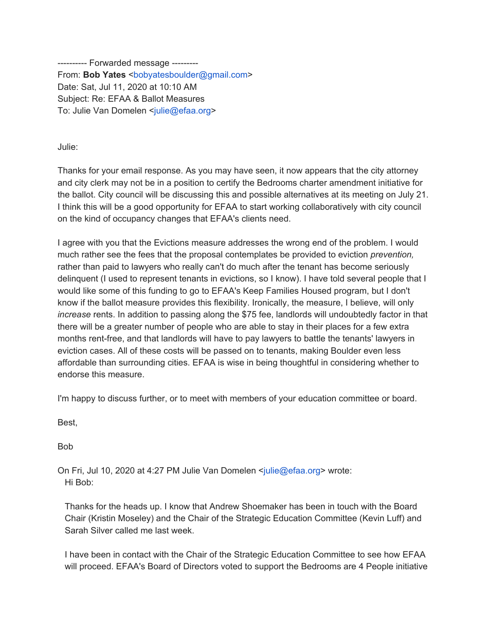---------- Forwarded message --------- From: **Bob Yates** <br/>bobyatesboulder@gmail.com> Date: Sat, Jul 11, 2020 at 10:10 AM Subject: Re: EFAA & Ballot Measures To: Julie Van Domelen <julie@efaa.org>

Julie:

Thanks for your email response. As you may have seen, it now appears that the city attorney and city clerk may not be in a position to certify the Bedrooms charter amendment initiative for the ballot. City council will be discussing this and possible alternatives at its meeting on July 21. I think this will be a good opportunity for EFAA to start working collaboratively with city council on the kind of occupancy changes that EFAA's clients need.

I agree with you that the Evictions measure addresses the wrong end of the problem. I would much rather see the fees that the proposal contemplates be provided to eviction *prevention,* rather than paid to lawyers who really can't do much after the tenant has become seriously delinquent (I used to represent tenants in evictions, so I know). I have told several people that I would like some of this funding to go to EFAA's Keep Families Housed program, but I don't know if the ballot measure provides this flexibility. Ironically, the measure, I believe, will only *increase* rents. In addition to passing along the \$75 fee, landlords will undoubtedly factor in that there will be a greater number of people who are able to stay in their places for a few extra months rent-free, and that landlords will have to pay lawyers to battle the tenants' lawyers in eviction cases. All of these costs will be passed on to tenants, making Boulder even less affordable than surrounding cities. EFAA is wise in being thoughtful in considering whether to endorse this measure.

I'm happy to discuss further, or to meet with members of your education committee or board.

Best,

Bob

On Fri, Jul 10, 2020 at 4:27 PM Julie Van Domelen <julie@efaa.org> wrote: Hi Bob:

Thanks for the heads up. I know that Andrew Shoemaker has been in touch with the Board Chair (Kristin Moseley) and the Chair of the Strategic Education Committee (Kevin Luff) and Sarah Silver called me last week.

I have been in contact with the Chair of the Strategic Education Committee to see how EFAA will proceed. EFAA's Board of Directors voted to support the Bedrooms are 4 People initiative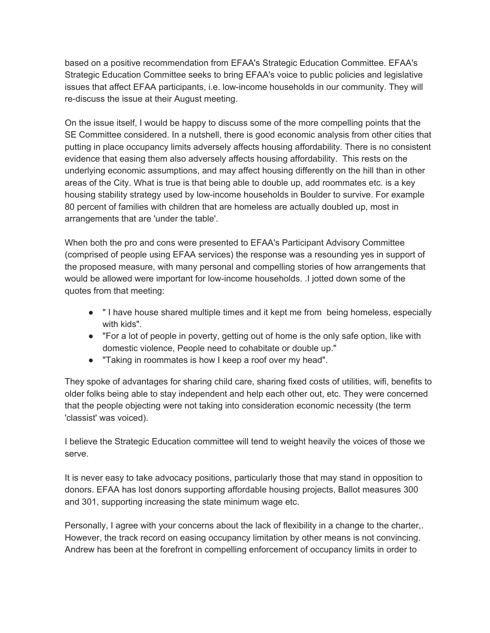based on a positive recommendation from EFAA's Strategic Education Committee. EFAA's Strategic Education Committee seeks to bring EFAA's voice to public policies and legislative issues that affect EFAA participants, i.e. low-income households in our community. They will re-discuss the issue at their August meeting.

On the issue itself, I would be happy to discuss some of the more compelling points that the SE Committee considered. In a nutshell, there is good economic analysis from other cities that putting in place occupancy limits adversely affects housing affordability. There is no consistent evidence that easing them also adversely affects housing affordability. This rests on the underlying economic assumptions, and may affect housing differently on the hill than in other areas of the City. What is true is that being able to double up, add roommates etc. is a key housing stability strategy used by low-income households in Boulder to survive. For example 80 percent of families with children that are homeless are actually doubled up, most in arrangements that are 'under the table'.

When both the pro and cons were presented to EFAA's Participant Advisory Committee (comprised of people using EFAA services) the response was a resounding yes in support of the proposed measure, with many personal and compelling stories of how arrangements that would be allowed were important for low-income households. .I jotted down some of the quotes from that meeting:

- " I have house shared multiple times and it kept me from being homeless, especially with kids".
- "For a lot of people in poverty, getting out of home is the only safe option, like with domestic violence, People need to cohabitate or double up."
- "Taking in roommates is how I keep a roof over my head".

They spoke of advantages for sharing child care, sharing fixed costs of utilities, wifi, benefits to older folks being able to stay independent and help each other out, etc. They were concerned that the people objecting were not taking into consideration economic necessity (the term 'classist' was voiced).

I believe the Strategic Education committee will tend to weight heavily the voices of those we serve.

It is never easy to take advocacy positions, particularly those that may stand in opposition to donors. EFAA has lost donors supporting affordable housing projects, Ballot measures 300 and 301, supporting increasing the state minimum wage etc.

Personally, I agree with your concerns about the lack of flexibility in a change to the charter,. However, the track record on easing occupancy limitation by other means is not convincing. Andrew has been at the forefront in compelling enforcement of occupancy limits in order to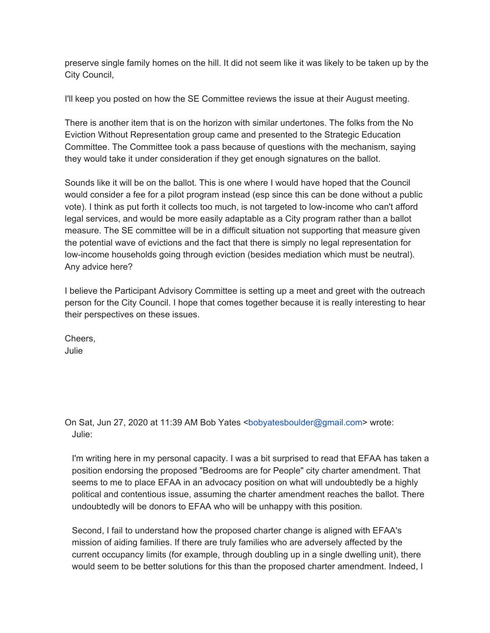preserve single family homes on the hill. It did not seem like it was likely to be taken up by the City Council,

I'll keep you posted on how the SE Committee reviews the issue at their August meeting.

There is another item that is on the horizon with similar undertones. The folks from the No Eviction Without Representation group came and presented to the Strategic Education Committee. The Committee took a pass because of questions with the mechanism, saying they would take it under consideration if they get enough signatures on the ballot.

Sounds like it will be on the ballot. This is one where I would have hoped that the Council would consider a fee for a pilot program instead (esp since this can be done without a public vote). I think as put forth it collects too much, is not targeted to low-income who can't afford legal services, and would be more easily adaptable as a City program rather than a ballot measure. The SE committee will be in a difficult situation not supporting that measure given the potential wave of evictions and the fact that there is simply no legal representation for low-income households going through eviction (besides mediation which must be neutral). Any advice here?

I believe the Participant Advisory Committee is setting up a meet and greet with the outreach person for the City Council. I hope that comes together because it is really interesting to hear their perspectives on these issues.

Cheers, Julie

On Sat, Jun 27, 2020 at 11:39 AM Bob Yates <bobyatesboulder@gmail.com> wrote: Julie:

I'm writing here in my personal capacity. I was a bit surprised to read that EFAA has taken a position endorsing the proposed "Bedrooms are for People" city charter amendment. That seems to me to place EFAA in an advocacy position on what will undoubtedly be a highly political and contentious issue, assuming the charter amendment reaches the ballot. There undoubtedly will be donors to EFAA who will be unhappy with this position.

Second, I fail to understand how the proposed charter change is aligned with EFAA's mission of aiding families. If there are truly families who are adversely affected by the current occupancy limits (for example, through doubling up in a single dwelling unit), there would seem to be better solutions for this than the proposed charter amendment. Indeed, I